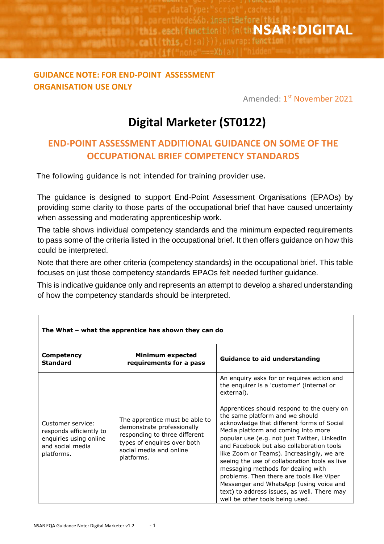de&&b.insertBefore(this **The Second Constitution (b)**  $\ln(\text{th}\textbf{NSAR:}\textbf{DIGITAL})$ **Call this.** 

## **GUIDANCE NOTE: FOR END-POINT ASSESSMENT ORGANISATION USE ONLY**

Amended: 1<sup>st</sup> N<mark>ovember 2021</mark>

## **Digital Marketer (ST0122)**

## **END-POINT ASSESSMENT ADDITIONAL GUIDANCE ON SOME OF THE OCCUPATIONAL BRIEF COMPETENCY STANDARDS**

The following guidance is not intended for training provider use.

The guidance is designed to support End-Point Assessment Organisations (EPAOs) by providing some clarity to those parts of the occupational brief that have caused uncertainty when assessing and moderating apprenticeship work.

The table shows individual competency standards and the minimum expected requirements to pass some of the criteria listed in the occupational brief. It then offers guidance on how this could be interpreted.

Note that there are other criteria (competency standards) in the occupational brief. This table focuses on just those competency standards EPAOs felt needed further guidance.

This is indicative guidance only and represents an attempt to develop a shared understanding of how the competency standards should be interpreted.

| The What - what the apprentice has shown they can do                                                     |                                                                                                                                                                       |                                                                                                                                                                                                                                                                                                                                                                                                                                                                                                                                                                                                                                                                                        |  |
|----------------------------------------------------------------------------------------------------------|-----------------------------------------------------------------------------------------------------------------------------------------------------------------------|----------------------------------------------------------------------------------------------------------------------------------------------------------------------------------------------------------------------------------------------------------------------------------------------------------------------------------------------------------------------------------------------------------------------------------------------------------------------------------------------------------------------------------------------------------------------------------------------------------------------------------------------------------------------------------------|--|
| Competency<br><b>Standard</b>                                                                            | <b>Minimum expected</b><br>requirements for a pass                                                                                                                    | <b>Guidance to aid understanding</b>                                                                                                                                                                                                                                                                                                                                                                                                                                                                                                                                                                                                                                                   |  |
| Customer service:<br>responds efficiently to<br>enquiries using online<br>and social media<br>platforms. | The apprentice must be able to<br>demonstrate professionally<br>responding to three different<br>types of enguires over both<br>social media and online<br>platforms. | An enquiry asks for or requires action and<br>the enquirer is a 'customer' (internal or<br>external).<br>Apprentices should respond to the query on<br>the same platform and we should<br>acknowledge that different forms of Social<br>Media platform and coming into more<br>popular use (e.g. not just Twitter, LinkedIn<br>and Facebook but also collaboration tools<br>like Zoom or Teams). Increasingly, we are<br>seeing the use of collaboration tools as live<br>messaging methods for dealing with<br>problems. Then there are tools like Viper<br>Messenger and WhatsApp (using voice and<br>text) to address issues, as well. There may<br>well be other tools being used. |  |